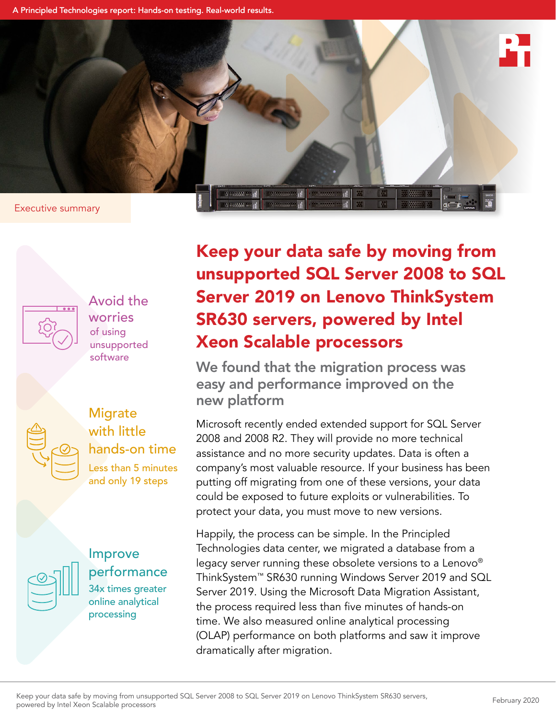A Principled Technologies report: Hands-on testing. Real-world results.



of using unsupported software Avoid the worries





34x times greater online analytical processing Improve performance Keep your data safe by moving from unsupported SQL Server 2008 to SQL Server 2019 on Lenovo ThinkSystem SR630 servers, powered by Intel Xeon Scalable processors

We found that the migration process was easy and performance improved on the new platform

Microsoft recently ended extended support for SQL Server 2008 and 2008 R2. They will provide no more technical assistance and no more security updates. Data is often a company's most valuable resource. If your business has been putting off migrating from one of these versions, your data could be exposed to future exploits or vulnerabilities. To protect your data, you must move to new versions.

Happily, the process can be simple. In the Principled Technologies data center, we migrated a database from a legacy server running these obsolete versions to a Lenovo® ThinkSystem™ SR630 running Windows Server 2019 and SQL Server 2019. Using the Microsoft Data Migration Assistant, the process required less than five minutes of hands‑on time. We also measured online analytical processing (OLAP) performance on both platforms and saw it improve dramatically after migration.